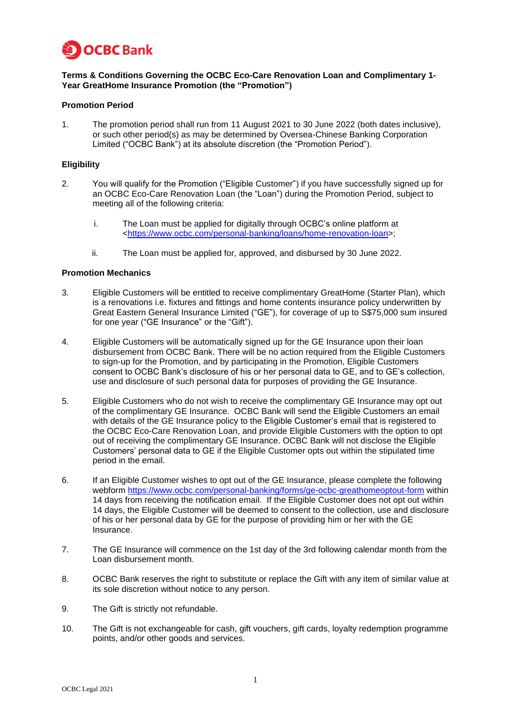

## **Terms & Conditions Governing the OCBC Eco-Care Renovation Loan and Complimentary 1- Year GreatHome Insurance Promotion (the "Promotion")**

### **Promotion Period**

1. The promotion period shall run from 11 August 2021 to 30 June 2022 (both dates inclusive), or such other period(s) as may be determined by Oversea-Chinese Banking Corporation Limited ("OCBC Bank") at its absolute discretion (the "Promotion Period").

# **Eligibility**

- 2. You will qualify for the Promotion ("Eligible Customer") if you have successfully signed up for an OCBC Eco-Care Renovation Loan (the "Loan") during the Promotion Period, subject to meeting all of the following criteria:
	- i. The Loan must be applied for digitally through OCBC's online platform at [<https://www.ocbc.com/personal-banking/loans/home-renovation-loan>](https://www.ocbc.com/personal-banking/loans/home-renovation-loan);
	- ii. The Loan must be applied for, approved, and disbursed by 30 June 2022.

### **Promotion Mechanics**

- 3. Eligible Customers will be entitled to receive complimentary GreatHome (Starter Plan), which is a renovations i.e. fixtures and fittings and home contents insurance policy underwritten by Great Eastern General Insurance Limited ("GE"), for coverage of up to S\$75,000 sum insured for one year ("GE Insurance" or the "Gift").
- 4. Eligible Customers will be automatically signed up for the GE Insurance upon their loan disbursement from OCBC Bank. There will be no action required from the Eligible Customers to sign-up for the Promotion, and by participating in the Promotion, Eligible Customers consent to OCBC Bank's disclosure of his or her personal data to GE, and to GE's collection, use and disclosure of such personal data for purposes of providing the GE Insurance.
- 5. Eligible Customers who do not wish to receive the complimentary GE Insurance may opt out of the complimentary GE Insurance. OCBC Bank will send the Eligible Customers an email with details of the GE Insurance policy to the Eligible Customer's email that is registered to the OCBC Eco-Care Renovation Loan, and provide Eligible Customers with the option to opt out of receiving the complimentary GE Insurance. OCBC Bank will not disclose the Eligible Customers' personal data to GE if the Eligible Customer opts out within the stipulated time period in the email.
- 6. If an Eligible Customer wishes to opt out of the GE Insurance, please complete the following webform<https://www.ocbc.com/personal-banking/forms/ge-ocbc-greathomeoptout-form> within 14 days from receiving the notification email. If the Eligible Customer does not opt out within 14 days, the Eligible Customer will be deemed to consent to the collection, use and disclosure of his or her personal data by GE for the purpose of providing him or her with the GE Insurance.
- 7. The GE Insurance will commence on the 1st day of the 3rd following calendar month from the Loan disbursement month.
- 8. OCBC Bank reserves the right to substitute or replace the Gift with any item of similar value at its sole discretion without notice to any person.
- 9. The Gift is strictly not refundable.
- 10. The Gift is not exchangeable for cash, gift vouchers, gift cards, loyalty redemption programme points, and/or other goods and services.